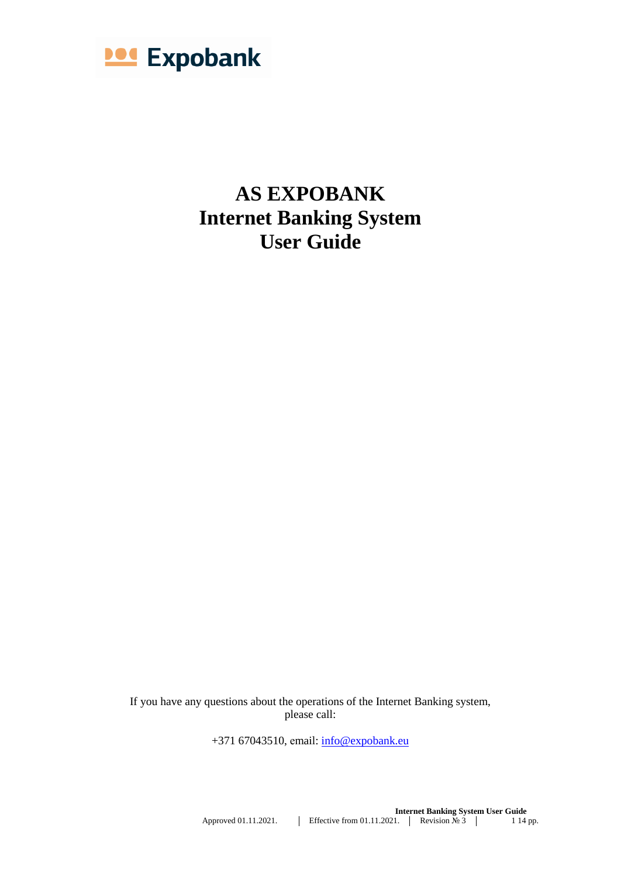

**AS EXPOBANK Internet Banking System User Guide**

If you have any questions about the operations of the Internet Banking system, please call:

+371 67043510, email: [info@expobank.eu](mailto:info@expobank.eu)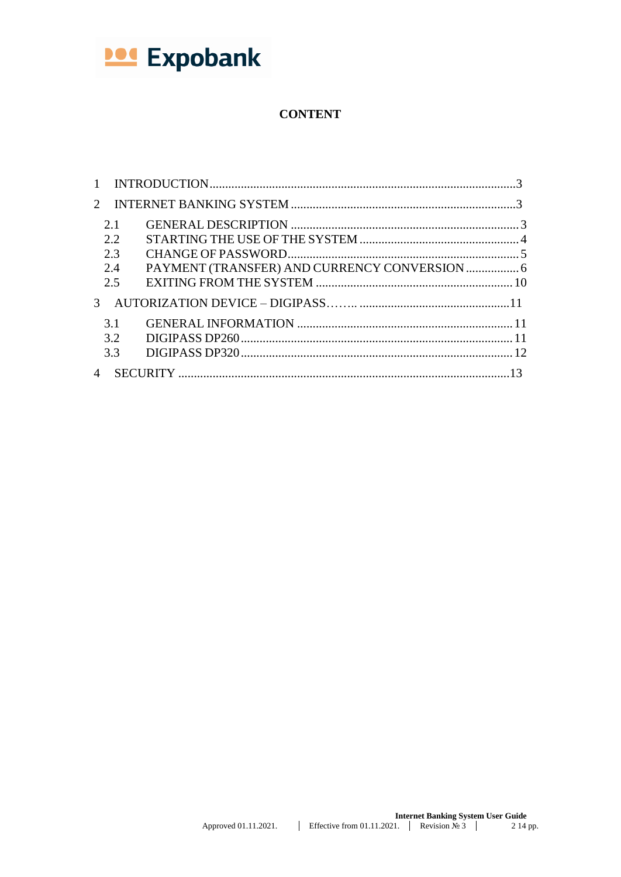

# **CONTENT**

| $\mathbf{1}$   |     |                                               |  |
|----------------|-----|-----------------------------------------------|--|
| $\mathcal{D}$  |     |                                               |  |
|                | 2.1 |                                               |  |
|                | 2.2 |                                               |  |
|                | 2.3 |                                               |  |
|                | 2.4 | PAYMENT (TRANSFER) AND CURRENCY CONVERSION  6 |  |
|                | 2.5 |                                               |  |
| $\mathcal{F}$  |     |                                               |  |
|                | 3.1 |                                               |  |
|                | 3.2 |                                               |  |
|                | 3.3 |                                               |  |
| $\overline{4}$ |     |                                               |  |
|                |     |                                               |  |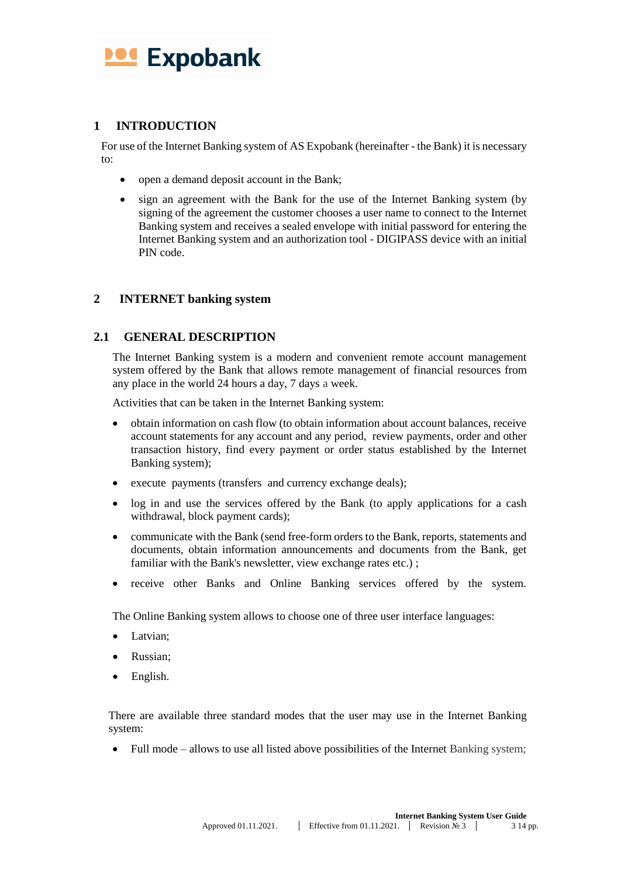

# <span id="page-2-0"></span>**1 INTRODUCTION**

For use of the Internet Banking system of AS Expobank (hereinafter - the Bank) it is necessary to:

- open a demand deposit account in the Bank;
- sign an agreement with the Bank for the use of the Internet Banking system (by signing of the agreement the customer chooses a user name to connect to the Internet Banking system and receives a sealed envelope with initial password for entering the Internet Banking system and an authorization tool - DIGIPASS device with an initial PIN code.

### <span id="page-2-1"></span>**2 INTERNET banking system**

# <span id="page-2-2"></span>**2.1 GENERAL DESCRIPTION**

The Internet Banking system is a modern and convenient remote account management system offered by the Bank that allows remote management of financial resources from any place in the world 24 hours a day, 7 days a week.

Activities that can be taken in the Internet Banking system:

- obtain information on cash flow (to obtain information about account balances, receive account statements for any account and any period, review payments, order and other transaction history, find every payment or order status established by the Internet Banking system);
- execute payments (transfers and currency exchange deals);
- log in and use the services offered by the Bank (to apply applications for a cash withdrawal, block payment cards);
- communicate with the Bank (send free-form orders to the Bank, reports, statements and documents, obtain information announcements and documents from the Bank, get familiar with the Bank's newsletter, view exchange rates etc.);
- receive other Banks and Online Banking services offered by the system.

The Online Banking system allows to choose one of three user interface languages:

- Latvian;
- Russian;
- English.

There are available three standard modes that the user may use in the Internet Banking system:

• Full mode – allows to use all listed above possibilities of the Internet Banking system;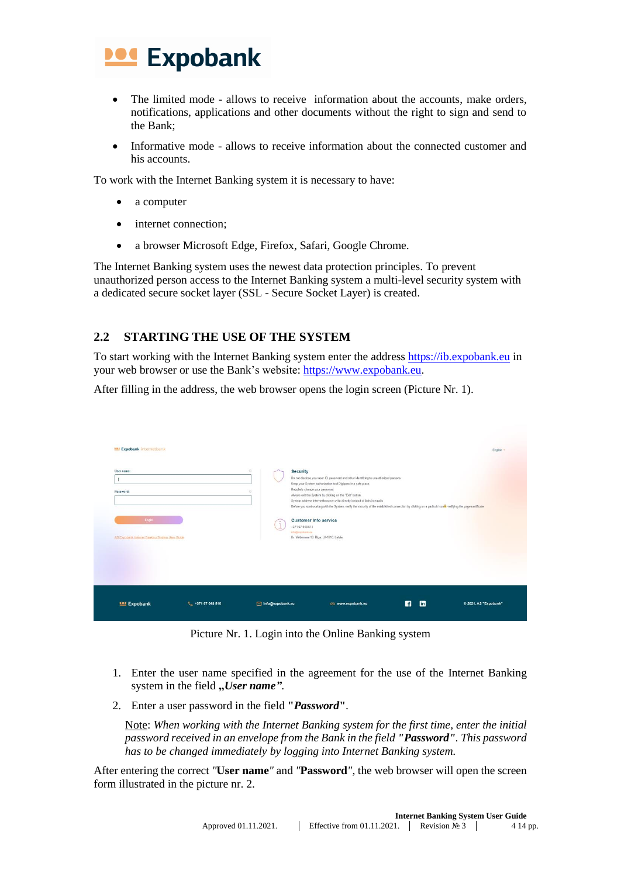

- The limited mode allows to receive information about the accounts, make orders, notifications, applications and other documents without the right to sign and send to the Bank;
- Informative mode allows to receive information about the connected customer and his accounts.

To work with the Internet Banking system it is necessary to have:

- a computer
- internet connection;
- a browser Microsoft Edge, Firefox, Safari, Google Chrome.

The Internet Banking system uses the newest data protection principles. To prevent unauthorized person access to the Internet Banking system a multi-level security system with a dedicated secure socket layer (SSL - Secure Socket Layer) is created.

# <span id="page-3-0"></span>**2.2 STARTING THE USE OF THE SYSTEM**

To start working with the Internet Banking system enter the address [https://ib.expobank.eu](https://ib.expobank.eu/) in your web browser or use the Bank's website: [https://www.expobank.eu.](https://www.expobank.eu/)

After filling in the address, the web browser opens the login screen (Picture Nr. 1).

| <b>Expobank</b> internetbank<br>User name:<br>Password:<br>Login<br>AS Expotank Internet Banking System User Guide |                   | $\circ$<br><b>Security</b><br><b>O</b><br>+371 67 043 510<br>info@expobank.eu | Do not disclose your user ID, password and other identifying to unauthorized persons.<br>Keep your System authorization tool Digipass in a safe place.<br>Regularly change your password.<br>Always exit the System by clicking on the "Exit" button.<br>System address Internet browser wite directly instead of links in emails.<br>Before you start working with the System, verify the security of the established connection by clicking on a padlock icon the verifying the page certificate.<br><b>Customer Info service</b><br>Kr. Valdemara 19, Riga, LV-1010, Latvia. |               | English -             |
|--------------------------------------------------------------------------------------------------------------------|-------------------|-------------------------------------------------------------------------------|---------------------------------------------------------------------------------------------------------------------------------------------------------------------------------------------------------------------------------------------------------------------------------------------------------------------------------------------------------------------------------------------------------------------------------------------------------------------------------------------------------------------------------------------------------------------------------|---------------|-----------------------|
| <b>104 Expobank</b>                                                                                                | ₹ +371 67 043 510 | info@expobank.eu                                                              | c www.expobank.eu                                                                                                                                                                                                                                                                                                                                                                                                                                                                                                                                                               | <b>m</b><br>И | © 2021, AS "Expobank" |

Picture Nr. 1. Login into the Online Banking system

- 1. Enter the user name specified in the agreement for the use of the Internet Banking system in the field "User name".
- 2. Enter a user password in the field **"***Password***"**.

Note: *When working with the Internet Banking system for the first time, enter the initial password received in an envelope from the Bank in the field "Password". This password has to be changed immediately by logging into Internet Banking system.*

After entering the correct *"***User name***"* and *"***Password***"*, the web browser will open the screen form illustrated in the picture nr. 2.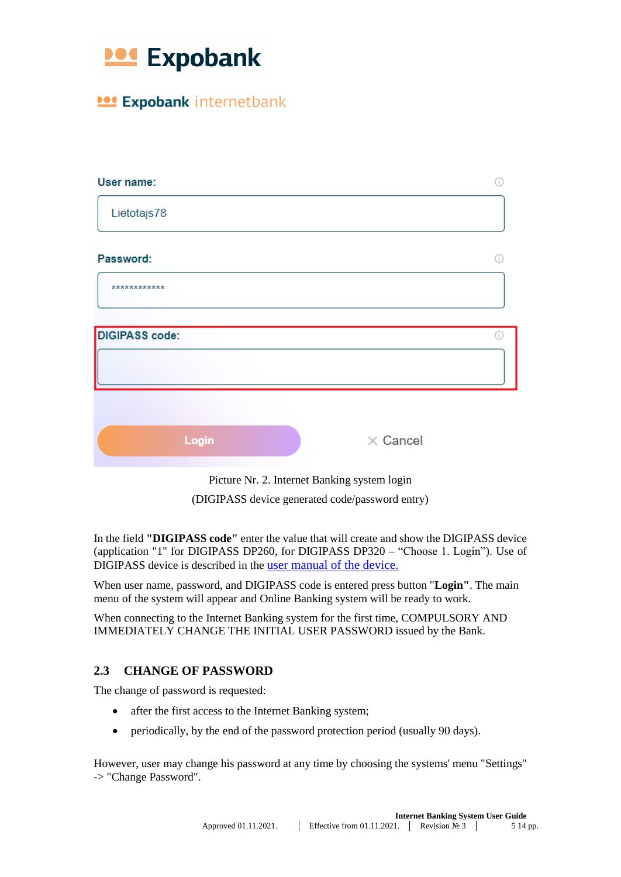

**104 Expobank internetbank** 

|                 | Ŧ |
|-----------------|---|
|                 |   |
|                 |   |
|                 |   |
|                 |   |
| $\times$ Cancel |   |
|                 |   |

Picture Nr. 2. Internet Banking system login (DIGIPASS device generated code/password entry)

In the field **"DIGIPASS code"** enter the value that will create and show the DIGIPASS device (application "1" for DIGIPASS DP260, for DIGIPASS DP320 – "Choose 1. Login"). Use of DIGIPASS device is described in the [user manual of the device.](#page-10-3)

When user name, password, and DIGIPASS code is entered press button "**Login"**. The main menu of the system will appear and Online Banking system will be ready to work.

When connecting to the Internet Banking system for the first time, COMPULSORY AND IMMEDIATELY CHANGE THE INITIAL USER PASSWORD issued by the Bank.

# <span id="page-4-0"></span>**2.3 CHANGE OF PASSWORD**

The change of password is requested:

- after the first access to the Internet Banking system;
- periodically, by the end of the password protection period (usually 90 days).

However, user may change his password at any time by choosing the systems' menu "Settings" -> "Change Password".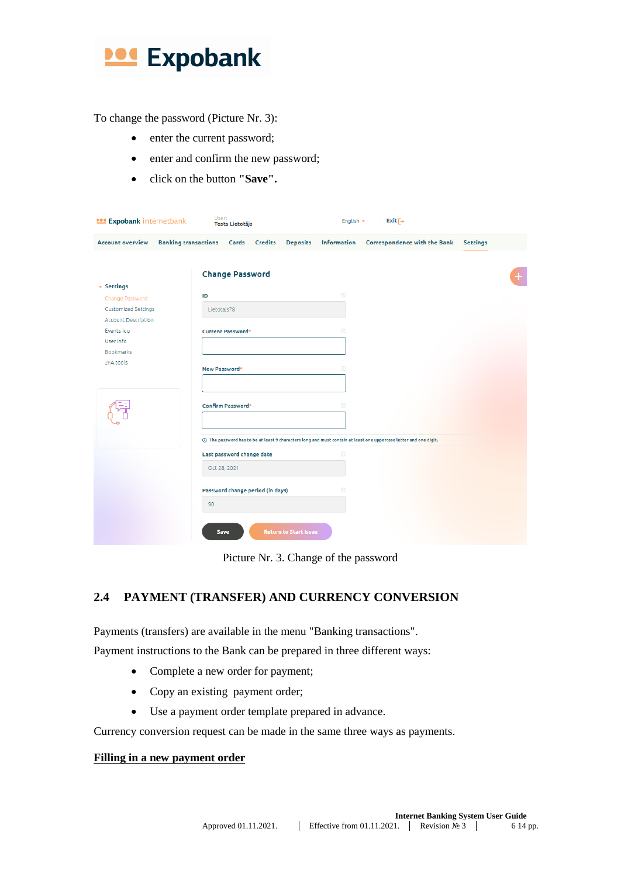

To change the password (Picture Nr. 3):

- enter the current password;
- enter and confirm the new password;
- click on the button **"Save".**

| <b>104 Expobank internetbank</b>                         | User:<br><b>Testa Lietotājs</b>                                                                                    | English $\star$ | $Exit \rightarrow$                  |                 |
|----------------------------------------------------------|--------------------------------------------------------------------------------------------------------------------|-----------------|-------------------------------------|-----------------|
| <b>Account overview</b>                                  | <b>Banking transactions</b><br>Cards Credits<br><b>Deposits</b>                                                    | Information     | <b>Correspondence with the Bank</b> | <b>Settings</b> |
|                                                          | <b>Change Password</b>                                                                                             |                 |                                     |                 |
| $\overline{\phantom{a}}$ Settings<br>Change Password     | ID                                                                                                                 | $\odot$         |                                     |                 |
| <b>Customized Settings</b><br><b>Account Description</b> | Lietotajs78                                                                                                        |                 |                                     |                 |
| Events log                                               | <b>Current Password*</b>                                                                                           | $\odot$         |                                     |                 |
| User info<br><b>Bookmarks</b>                            |                                                                                                                    |                 |                                     |                 |
| 2FA tools                                                | New Password*                                                                                                      | $\odot$         |                                     |                 |
|                                                          | <b>Confirm Password*</b>                                                                                           | $\odot$         |                                     |                 |
|                                                          | () The password has to be at least 9 characters long and must contain at least one uppercase letter and one digit. |                 |                                     |                 |
|                                                          | Last password change date                                                                                          | $\odot$         |                                     |                 |
|                                                          | Oct 28, 2021                                                                                                       |                 |                                     |                 |
|                                                          | Password change period (in days)                                                                                   | 0               |                                     |                 |
|                                                          | 90                                                                                                                 |                 |                                     |                 |
|                                                          | <b>Return to Start Issue</b><br>Save                                                                               |                 |                                     |                 |

Picture Nr. 3. Change of the password

# <span id="page-5-0"></span>**2.4 PAYMENT (TRANSFER) AND CURRENCY CONVERSION**

Payments (transfers) are available in the menu "Banking transactions".

Payment instructions to the Bank can be prepared in three different ways:

- Complete a new order for payment;
- Copy an existing payment order;
- Use a payment order template prepared in advance.

Currency conversion request can be made in the same three ways as payments.

## **Filling in a new payment order**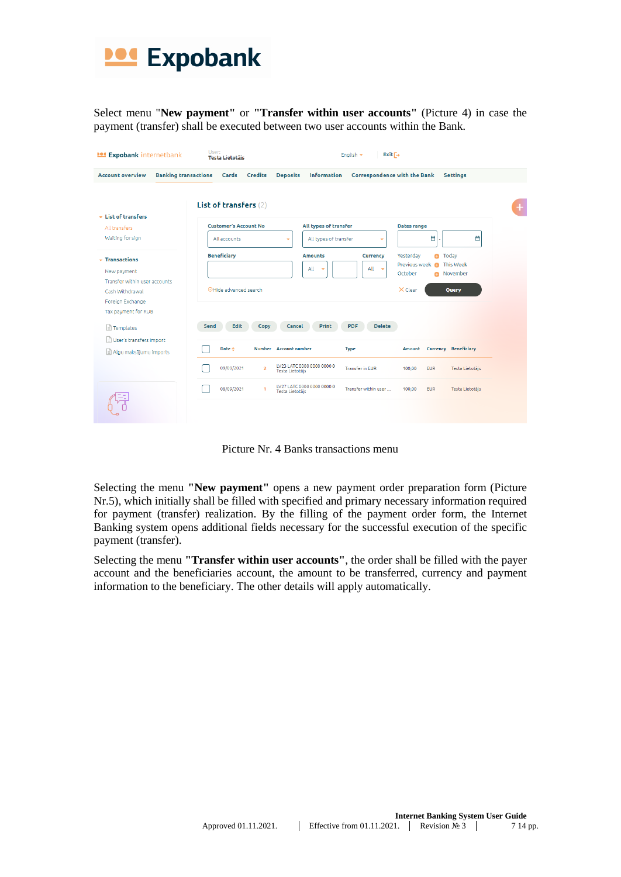

Select menu "**New payment"** or **"Transfer within user accounts"** (Picture 4) in case the payment (transfer) shall be executed between two user accounts within the Bank.

| <b>101 Expobank internetbank</b>                                                                                                                    | User:<br><b>Testa Lietotäis</b>                                                                                                                                                                                                        | $Exit \rightarrow$<br>English $\star$                                        |                                         |  |
|-----------------------------------------------------------------------------------------------------------------------------------------------------|----------------------------------------------------------------------------------------------------------------------------------------------------------------------------------------------------------------------------------------|------------------------------------------------------------------------------|-----------------------------------------|--|
| <b>Banking transactions</b><br><b>Account overview</b>                                                                                              | Cards Credits                                                                                                                                                                                                                          | <b>Deposits</b><br><b>Information</b><br><b>Correspondence with the Bank</b> | Settings                                |  |
| $\overline{\phantom{a}}$ List of transfers                                                                                                          | List of transfers (2)                                                                                                                                                                                                                  |                                                                              | ÷                                       |  |
| All transfers                                                                                                                                       | <b>Customer's Account No</b>                                                                                                                                                                                                           | All types of transfer                                                        | Dates range                             |  |
| Waiting for sign                                                                                                                                    | All accounts                                                                                                                                                                                                                           | All types of transfer<br>٠<br>۳                                              | Ö<br>Ö                                  |  |
| $\overline{\phantom{a}}$ Transactions<br>New payment<br>Transfer within user accounts<br>Cash Withdrawal<br>Foreign Exchange<br>Tax payment for RUB | <b>Beneficiary</b><br>Yesterdav<br><b>Amounts</b><br><b>Currency</b><br><b>O</b> Today<br>Previous week<br>This Week<br>$\bullet$<br>All<br>All $\sim$<br>٠<br>October<br>November<br>OHide advanced search<br>$\times$ Clear<br>Query |                                                                              |                                         |  |
| $\Box$ Templates                                                                                                                                    | Edit<br>Send<br>Copy                                                                                                                                                                                                                   | <b>Delete</b><br>Print<br>Cancel<br><b>PDF</b>                               |                                         |  |
| User's transfers import<br>Algu maksājumu imports                                                                                                   | Date $\triangle$                                                                                                                                                                                                                       | Number Account number<br><b>Type</b>                                         | <b>Currency Beneficiary</b><br>Amount   |  |
|                                                                                                                                                     | 09/09/2021<br>$\overline{2}$                                                                                                                                                                                                           | LV23 LATC 0000 0000 0000 0<br><b>Transfer in EUR</b><br>Testa Lietotājs      | 100,00<br><b>EUR</b><br>Testa Lietotājs |  |
|                                                                                                                                                     | 08/09/2021<br>1                                                                                                                                                                                                                        | LV27 LATC 0000 0000 0000 0<br>Transfer within user<br>Testa Lietotājs        | 100.00<br><b>EUR</b><br>Testa Lietotāis |  |

Picture Nr. 4 Banks transactions menu

Selecting the menu **"New payment"** opens a new payment order preparation form (Picture Nr.5), which initially shall be filled with specified and primary necessary information required for payment (transfer) realization. By the filling of the payment order form, the Internet Banking system opens additional fields necessary for the successful execution of the specific payment (transfer).

Selecting the menu **"Transfer within user accounts"**, the order shall be filled with the payer account and the beneficiaries account, the amount to be transferred, currency and payment information to the beneficiary. The other details will apply automatically.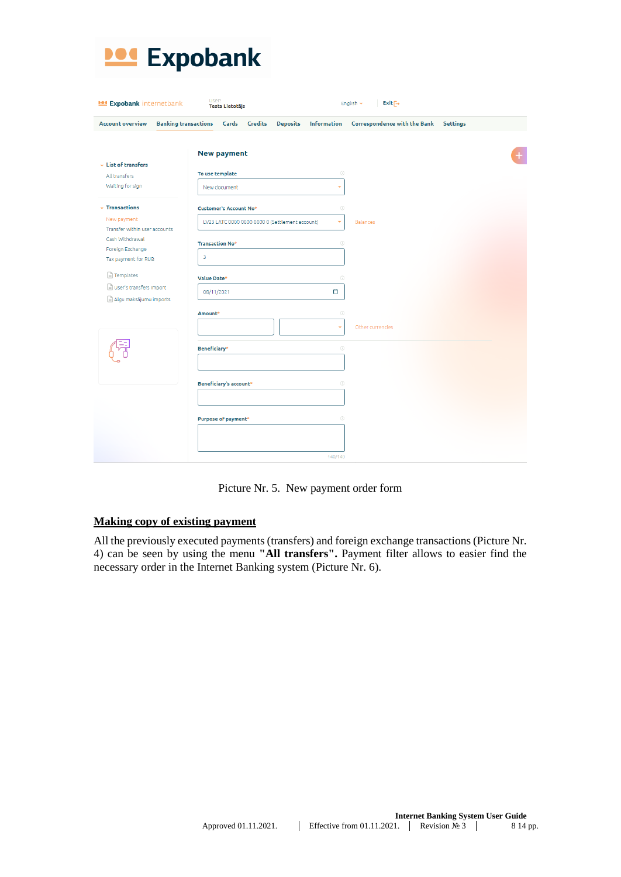

| <b>Account overview</b>                      | <b>Banking transactions</b><br>Cards Credits    | Deposits Information | Correspondence with the Bank Settings |  |
|----------------------------------------------|-------------------------------------------------|----------------------|---------------------------------------|--|
| $\overline{\phantom{a}}$ List of transfers   | <b>New payment</b>                              |                      |                                       |  |
| All transfers                                | To use template                                 | $\odot$              |                                       |  |
| Waiting for sign                             | New document                                    | ٠                    |                                       |  |
| $\overline{\phantom{a}}$ Transactions        | <b>Customer's Account No*</b>                   | $\odot$              |                                       |  |
| New payment<br>Transfer within user accounts | LV23 LATC 0000 0000 0000 0 (Settlement account) | ٠                    | <b>Balances</b>                       |  |
| Cash Withdrawal<br>Foreign Exchange          | <b>Transaction No*</b>                          | $\odot$              |                                       |  |
| Tax payment for RUB                          | 3                                               |                      |                                       |  |
| Templates                                    | Value Date*                                     | $\odot$              |                                       |  |
| User's transfers import                      | 08/11/2021                                      | Ö                    |                                       |  |
| Algu maksājumu imports                       | Amount <sup>*</sup>                             | $\odot$              |                                       |  |
|                                              |                                                 | ÷                    | Other currencies                      |  |
|                                              |                                                 |                      |                                       |  |
|                                              | Beneficiary*                                    | $\odot$              |                                       |  |
|                                              |                                                 |                      |                                       |  |
|                                              | <b>Beneficiary's account*</b>                   | $\odot$              |                                       |  |
|                                              |                                                 |                      |                                       |  |
|                                              | Purpose of payment*                             | $\odot$              |                                       |  |
|                                              |                                                 |                      |                                       |  |
|                                              |                                                 |                      |                                       |  |

Picture Nr. 5. New payment order form

### **Making copy of existing payment**

All the previously executed payments (transfers) and foreign exchange transactions (Picture Nr. 4) can be seen by using the menu **"All transfers".** Payment filter allows to easier find the necessary order in the Internet Banking system (Picture Nr. 6).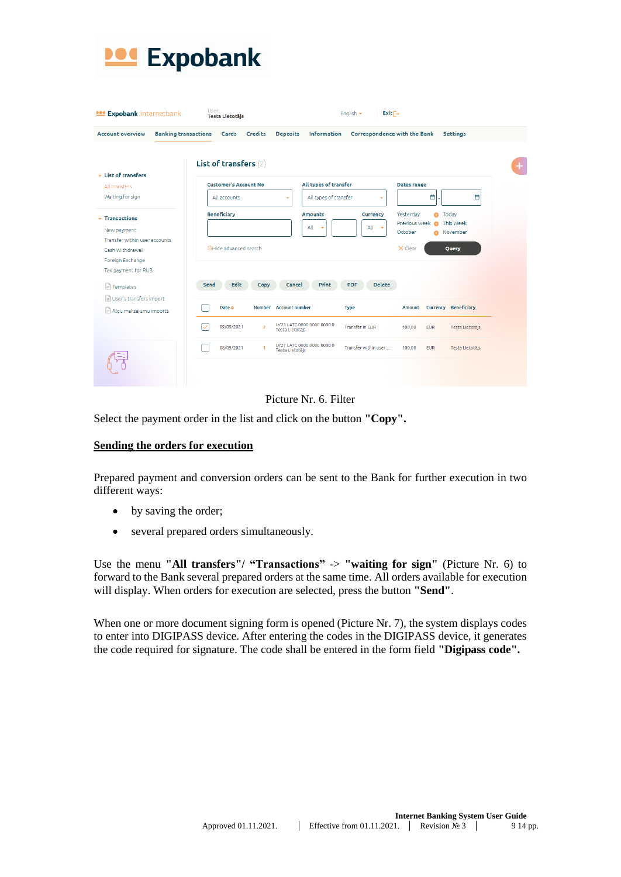

| <b>POSE Expobank internetbank</b>                      | User:<br><b>Testa Lietotäis</b>        | $Exit \rightarrow$<br>English $\sim$                                         |                                                                    |  |
|--------------------------------------------------------|----------------------------------------|------------------------------------------------------------------------------|--------------------------------------------------------------------|--|
| <b>Account overview</b><br><b>Banking transactions</b> | Credits<br><b>Deposits</b><br>Cards    | Information                                                                  | Correspondence with the Bank<br>Settings                           |  |
|                                                        |                                        |                                                                              |                                                                    |  |
| $\star$ List of transfers                              | List of transfers (2)                  |                                                                              |                                                                    |  |
| All transfers                                          | <b>Customer's Account No</b>           | All types of transfer                                                        | Dates range                                                        |  |
| Waiting for sign                                       | All accounts<br>٠                      | All types of transfer<br>٠                                                   | a.<br>Ö                                                            |  |
| $\overline{\phantom{a}}$ Transactions                  | <b>Beneficiary</b>                     | <b>Amounts</b><br>Currency                                                   | Yesterdav<br><b>O</b> Today                                        |  |
| New payment                                            |                                        | All<br>All<br>$\overline{\phantom{a}}$<br>٠                                  | Previous week<br><b>This Week</b><br>٠<br>October<br>November<br>e |  |
| Transfer within user accounts                          |                                        | $\times$ Clear<br><b>Query</b>                                               |                                                                    |  |
| Cash Withdrawal                                        | OHide advanced search                  |                                                                              |                                                                    |  |
| Foreign Exchange                                       |                                        |                                                                              |                                                                    |  |
| Tax payment for RUB                                    |                                        |                                                                              |                                                                    |  |
| Templates                                              | Send<br>Edit<br>Copy                   | Print<br><b>Delete</b><br>Cancel<br><b>PDF</b>                               |                                                                    |  |
| User's transfers import                                |                                        |                                                                              |                                                                    |  |
| Algu maksājumu imports                                 | Number Account number<br><b>Date</b> ≜ | <b>Type</b>                                                                  | <b>Currency Beneficiary</b><br><b>Amount</b>                       |  |
|                                                        | 09/09/2021<br>$\overline{2}$           | LV23 LATC 0000 0000 0000 0<br><b>Transfer in EUR</b><br>Testa Lietotājs      | 100,00<br><b>EUR</b><br>Testa Lietotājs                            |  |
|                                                        | 08/09/2021<br>1                        | LV27 LATC 0000 0000 0000 0<br>Transfer within user<br><b>Testa Lietotājs</b> | 100,00<br><b>EUR</b><br>Testa Lietotājs                            |  |
|                                                        |                                        |                                                                              |                                                                    |  |
|                                                        |                                        |                                                                              |                                                                    |  |



Select the payment order in the list and click on the button **"Copy".**

#### **Sending the orders for execution**

Prepared payment and conversion orders can be sent to the Bank for further execution in two different ways:

- by saving the order;
- several prepared orders simultaneously.

Use the menu "All transfers"/ "Transactions"  $\rightarrow$  "waiting for sign" (Picture Nr. 6) to forward to the Bank several prepared orders at the same time. All orders available for execution will display. When orders for execution are selected, press the button **"Send"**.

When one or more document signing form is opened (Picture Nr. 7), the system displays codes to enter into DIGIPASS device. After entering the codes in the DIGIPASS device, it generates the code required for signature. The code shall be entered in the form field **"Digipass code".**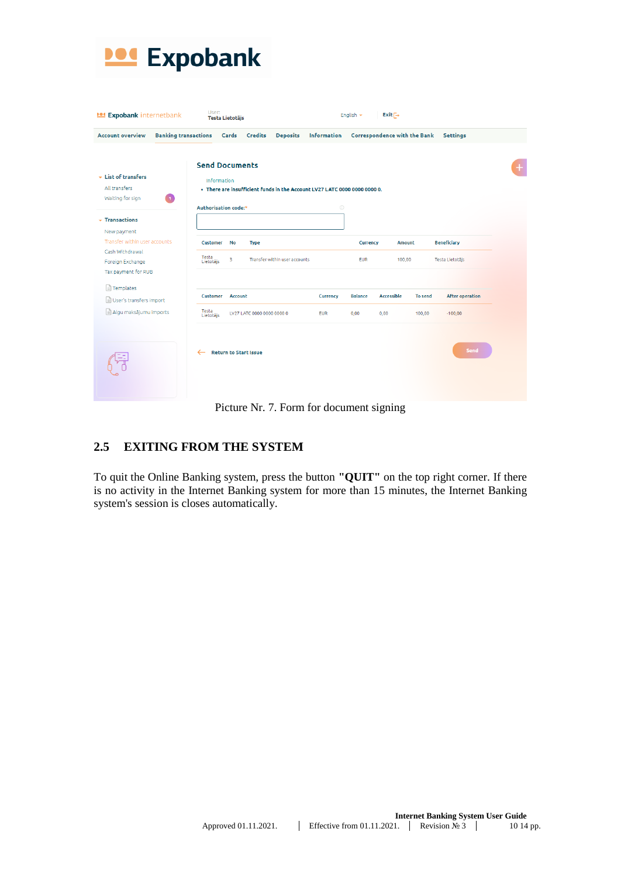

| <b>POSE Expobank internetbank</b>                                    |                             | User:<br>Testa Lietotājs          |                            |                               |                                                                           | English $\star$        | $Exit \rightarrow$           |         |                                       |   |
|----------------------------------------------------------------------|-----------------------------|-----------------------------------|----------------------------|-------------------------------|---------------------------------------------------------------------------|------------------------|------------------------------|---------|---------------------------------------|---|
| <b>Account overview</b>                                              | <b>Banking transactions</b> |                                   | Cards Credits              | <b>Deposits</b>               | Information                                                               |                        | Correspondence with the Bank |         | Settings                              |   |
|                                                                      |                             | <b>Send Documents</b>             |                            |                               |                                                                           |                        |                              |         |                                       |   |
| - List of transfers<br>All transfers<br>Waiting for sign             | -11                         | <b>Information</b>                |                            |                               | . There are insufficient funds in the Account LV27 LATC 0000 0000 0000 0. |                        |                              |         |                                       | + |
| $\overline{\phantom{a}}$ Transactions<br>New payment                 |                             | Authorisation code:*              |                            |                               | $\odot$                                                                   |                        |                              |         |                                       |   |
| Transfer within user accounts<br>Cash Withdrawal<br>Foreign Exchange | Testa<br>Lietotājs          | <b>Customer</b><br><b>No</b><br>3 | <b>Type</b>                | Transfer within user accounts |                                                                           | Currency<br><b>EUR</b> | <b>Amount</b><br>100,00      |         | <b>Beneficiary</b><br>Testa Lietotājs |   |
| Tax payment for RUB<br>Templates                                     |                             |                                   |                            |                               |                                                                           |                        |                              |         |                                       |   |
| User's transfers import                                              |                             | Customer<br><b>Account</b>        |                            |                               | Currency                                                                  | <b>Balance</b>         | <b>Accessible</b>            | To send | After operation                       |   |
| Algu maksājumu imports                                               | Testa<br>Lietotājs          |                                   | LV27 LATC 0000 0000 0000 0 |                               | <b>EUR</b>                                                                | 0,00                   | 0,00                         | 100,00  | $-100,00$                             |   |
|                                                                      | ←                           | <b>Return to Start Issue</b>      |                            |                               |                                                                           |                        |                              |         | Send                                  |   |

### Picture Nr. 7. Form for document signing

# <span id="page-9-0"></span>**2.5 EXITING FROM THE SYSTEM**

To quit the Online Banking system, press the button **"QUIT"** on the top right corner. If there is no activity in the Internet Banking system for more than 15 minutes, the Internet Banking system's session is closes automatically.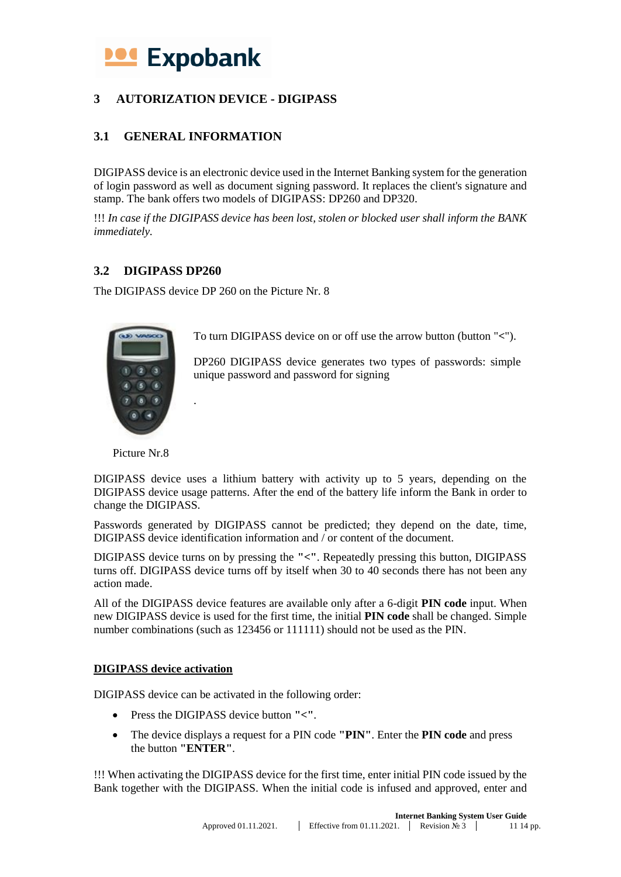# <span id="page-10-3"></span>**Expobank**

# <span id="page-10-0"></span>**3 AUTORIZATION DEVICE - DIGIPASS**

# <span id="page-10-1"></span>**3.1 GENERAL INFORMATION**

DIGIPASS device is an electronic device used in the Internet Banking system for the generation of login password as well as document signing password. It replaces the client's signature and stamp. The bank offers two models of DIGIPASS: DP260 and DP320.

!!! *In case if the DIGIPASS device has been lost, stolen or blocked user shall inform the BANK immediately.*

# <span id="page-10-2"></span>**3.2 DIGIPASS DP260**

The DIGIPASS device DP 260 on the Picture Nr. 8

.



To turn DIGIPASS device on or off use the arrow button (button "**<**").

DP260 DIGIPASS device generates two types of passwords: simple unique password and password for signing

Picture Nr.8

DIGIPASS device uses a lithium battery with activity up to 5 years, depending on the DIGIPASS device usage patterns. After the end of the battery life inform the Bank in order to change the DIGIPASS.

Passwords generated by DIGIPASS cannot be predicted; they depend on the date, time, DIGIPASS device identification information and / or content of the document.

DIGIPASS device turns on by pressing the **"<"**. Repeatedly pressing this button, DIGIPASS turns off. DIGIPASS device turns off by itself when 30 to 40 seconds there has not been any action made.

All of the DIGIPASS device features are available only after a 6-digit **PIN code** input. When new DIGIPASS device is used for the first time, the initial **PIN code** shall be changed. Simple number combinations (such as 123456 or 111111) should not be used as the PIN.

### **DIGIPASS device activation**

DIGIPASS device can be activated in the following order:

- Press the DIGIPASS device button **"<"**.
- The device displays a request for a PIN code **"PIN"**. Enter the **PIN code** and press the button **"ENTER"**.

!!! When activating the DIGIPASS device for the first time, enter initial PIN code issued by the Bank together with the DIGIPASS. When the initial code is infused and approved, enter and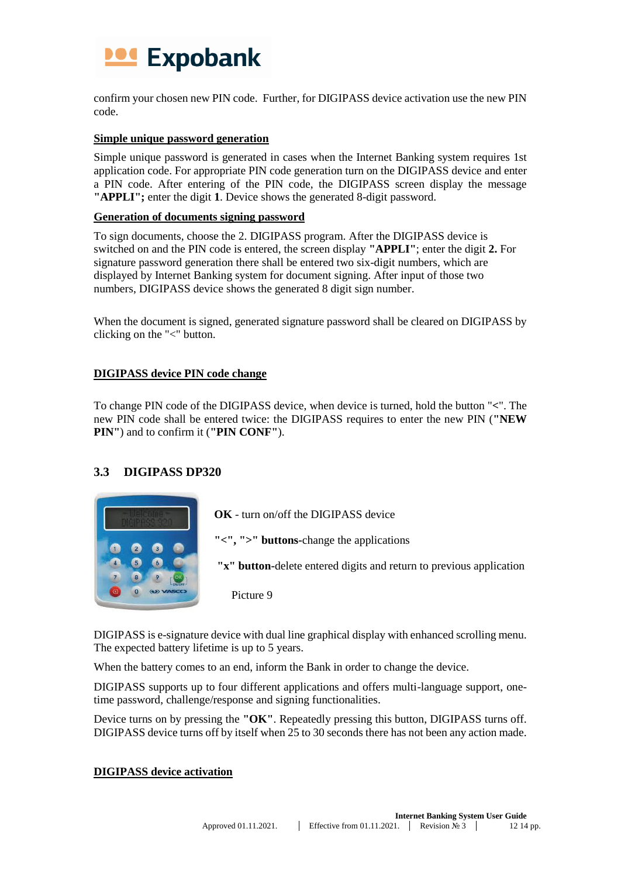

confirm your chosen new PIN code. Further, for DIGIPASS device activation use the new PIN code.

#### **Simple unique password generation**

Simple unique password is generated in cases when the Internet Banking system requires 1st application code. For appropriate PIN code generation turn on the DIGIPASS device and enter a PIN code. After entering of the PIN code, the DIGIPASS screen display the message **"APPLI";** enter the digit **1**. Device shows the generated 8-digit password.

### **Generation of documents signing password**

To sign documents, choose the 2. DIGIPASS program. After the DIGIPASS device is switched on and the PIN code is entered, the screen display **"APPLI"**; enter the digit **2.** For signature password generation there shall be entered two six-digit numbers, which are displayed by Internet Banking system for document signing. After input of those two numbers, DIGIPASS device shows the generated 8 digit sign number.

When the document is signed, generated signature password shall be cleared on DIGIPASS by clicking on the "<" button.

#### **DIGIPASS device PIN code change**

To change PIN code of the DIGIPASS device, when device is turned, hold the button "**<**". The new PIN code shall be entered twice: the DIGIPASS requires to enter the new PIN (**"NEW PIN"**) and to confirm it (**"PIN CONF"**).

### <span id="page-11-0"></span>**3.3 DIGIPASS DP320**



**OK** - turn on/off the DIGIPASS device

**"<", ">" buttons-**change the applications

**"x" button-**delete entered digits and return to previous application

Picture 9

DIGIPASS is e-signature device with dual line graphical display with enhanced scrolling menu. The expected battery lifetime is up to 5 years.

When the battery comes to an end, inform the Bank in order to change the device.

DIGIPASS supports up to four different applications and offers multi-language support, onetime password, challenge/response and signing functionalities.

Device turns on by pressing the **"OK"**. Repeatedly pressing this button, DIGIPASS turns off. DIGIPASS device turns off by itself when 25 to 30 seconds there has not been any action made.

#### **DIGIPASS device activation**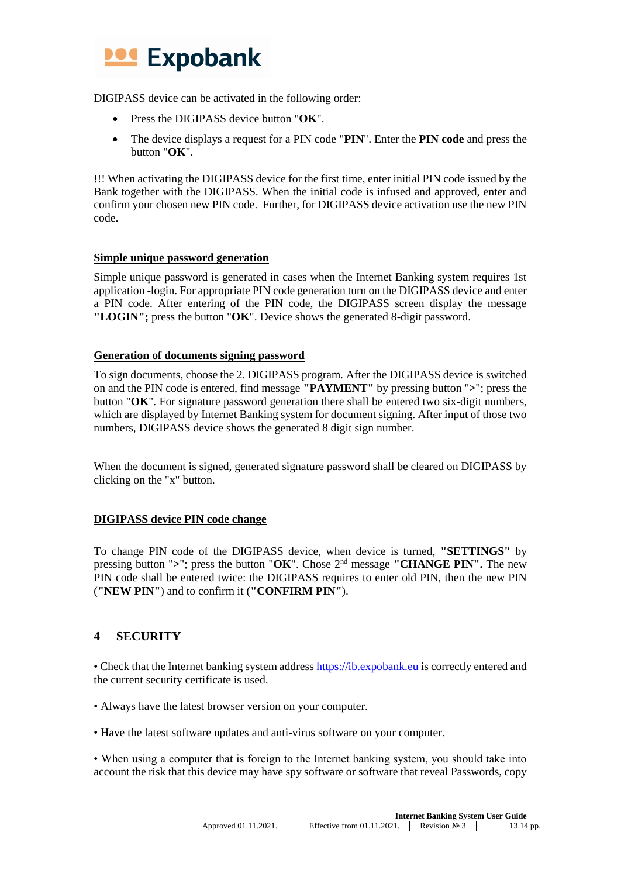

DIGIPASS device can be activated in the following order:

- Press the DIGIPASS device button "**OK**".
- The device displays a request for a PIN code "**PIN**". Enter the **PIN code** and press the button "**OK**".

!!! When activating the DIGIPASS device for the first time, enter initial PIN code issued by the Bank together with the DIGIPASS. When the initial code is infused and approved, enter and confirm your chosen new PIN code. Further, for DIGIPASS device activation use the new PIN code.

#### **Simple unique password generation**

Simple unique password is generated in cases when the Internet Banking system requires 1st application -login. For appropriate PIN code generation turn on the DIGIPASS device and enter a PIN code. After entering of the PIN code, the DIGIPASS screen display the message **"LOGIN";** press the button "**OK**". Device shows the generated 8-digit password.

#### **Generation of documents signing password**

To sign documents, choose the 2. DIGIPASS program. After the DIGIPASS device is switched on and the PIN code is entered, find message **"PAYMENT"** by pressing button "**>**"; press the button "**OK**". For signature password generation there shall be entered two six-digit numbers, which are displayed by Internet Banking system for document signing. After input of those two numbers, DIGIPASS device shows the generated 8 digit sign number.

When the document is signed, generated signature password shall be cleared on DIGIPASS by clicking on the "x" button.

### **DIGIPASS device PIN code change**

To change PIN code of the DIGIPASS device, when device is turned, **"SETTINGS"** by pressing button "**>**"; press the button "**OK**". Chose 2nd message **"CHANGE PIN".** The new PIN code shall be entered twice: the DIGIPASS requires to enter old PIN, then the new PIN (**"NEW PIN"**) and to confirm it (**"CONFIRM PIN"**).

# <span id="page-12-0"></span>**4 SECURITY**

• Check that the Internet banking system addres[s https://ib.expobank.eu](https://ib.expobank.eu/) is correctly entered and the current security certificate is used.

- Always have the latest browser version on your computer.
- Have the latest software updates and anti-virus software on your computer.

• When using a computer that is foreign to the Internet banking system, you should take into account the risk that this device may have spy software or software that reveal Passwords, copy